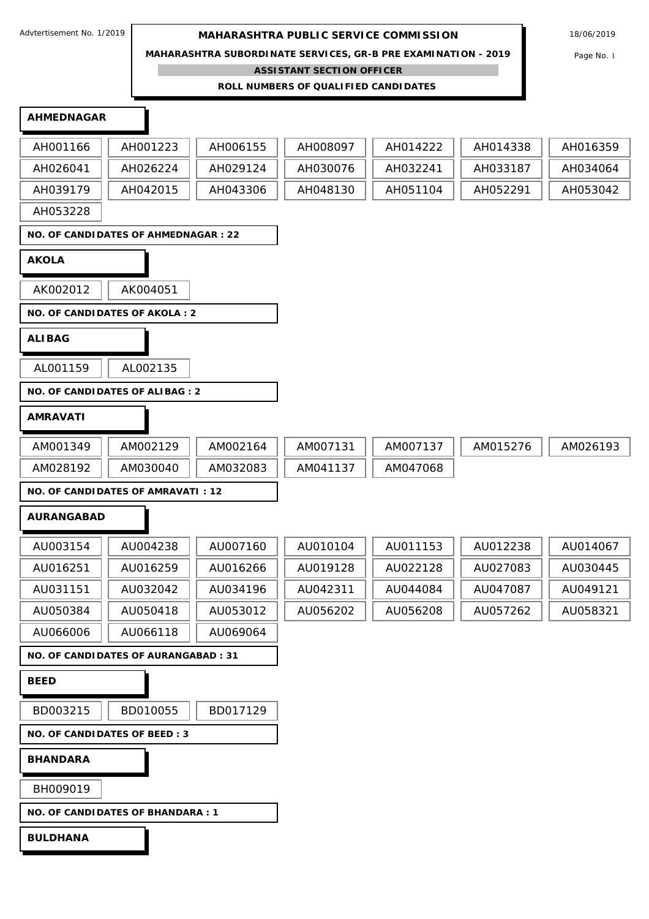**MAHARASHTRA SUBORDINATE SERVICES, GR-B PRE EXAMINATION - 2019** Page No. 1

**ASSISTANT SECTION OFFICER**

**ROLL NUMBERS OF QUALIFIED CANDIDATES** 

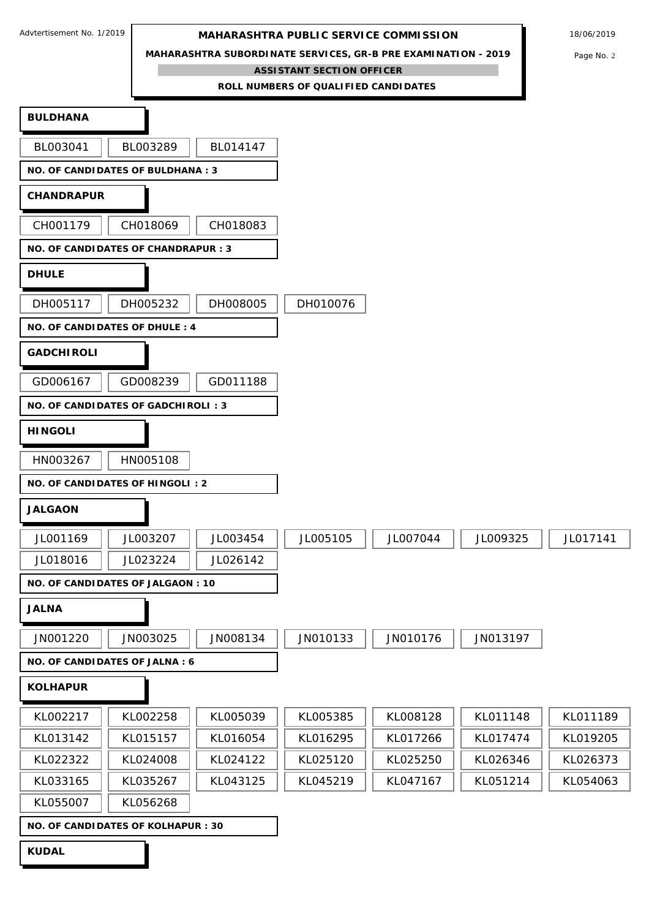**MAHARASHTRA SUBORDINATE SERVICES, GR-B PRE EXAMINATION - 2019** Page No. 2

**ASSISTANT SECTION OFFICER**

**ROLL NUMBERS OF QUALIFIED CANDIDATES BULDHANA** BL003041 || BL003289 || BL014147 **NO. OF CANDIDATES OF BULDHANA : 3 CHANDRAPUR** CH001179 | CH018069 | CH018083 **NO. OF CANDIDATES OF CHANDRAPUR : 3 DHULE** DH005117 | DH005232 | DH008005 | DH010076 **NO. OF CANDIDATES OF DHULE : 4 GADCHIROLI** GD006167 || GD008239 || GD011188 **NO. OF CANDIDATES OF GADCHIROLI : 3 HINGOLI** HN003267 | HN005108 **NO. OF CANDIDATES OF HINGOLI : 2 JALGAON** JL001169 || JL003207 || JL003454 || JL005105 || JL007044 || JL009325 || JL017141 JL018016 JL023224 JL026142 **NO. OF CANDIDATES OF JALGAON : 10 JALNA** JN001220 | JN003025 | JN008134 | JN010133 | JN010176 | JN013197 **NO. OF CANDIDATES OF JALNA : 6 KOLHAPUR** KL002217 || KL002258 || KL005039 || KL005385 || KL008128 || KL011148 || KL011189 KL013142 || KL015157 || KL016054 || KL016295 || KL017266 || KL017474 || KL019205 KL022322 || KL024008 || KL024122 || KL025120 || KL025250 || KL026346 || KL026373 KL033165 || KL035267 || KL043125 || KL045219 || KL047167 || KL051214 || KL054063 KL055007 | KL056268 **NO. OF CANDIDATES OF KOLHAPUR : 30**

**KUDAL**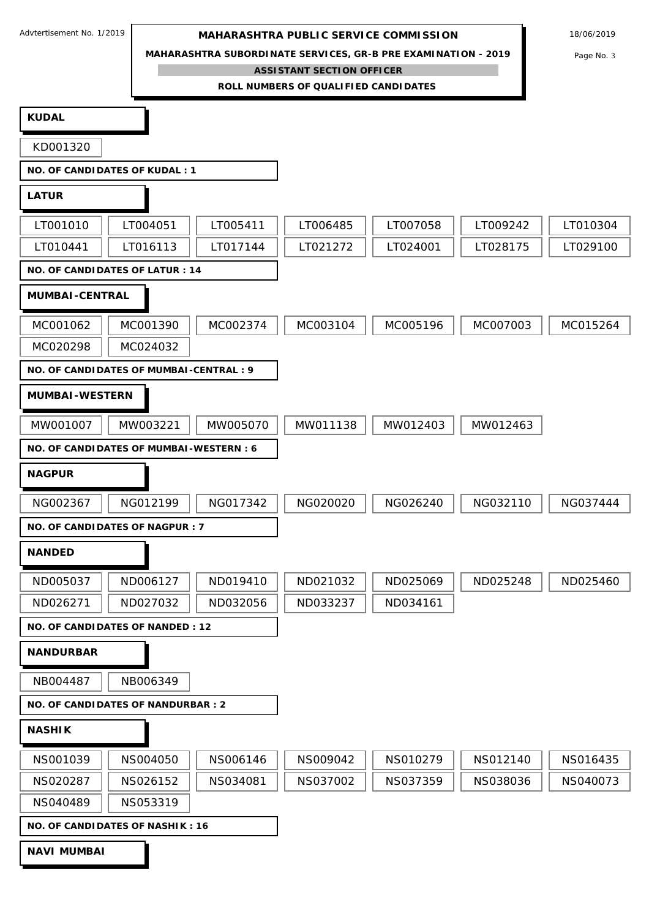**MAHARASHTRA SUBORDINATE SERVICES, GR-B PRE EXAMINATION - 2019** Page No. 3

**ASSISTANT SECTION OFFICER**

**ROLL NUMBERS OF QUALIFIED CANDIDATES KUDAL** KD001320 **NO. OF CANDIDATES OF KUDAL : 1 LATUR** LT001010 || LT004051 || LT005411 || LT006485 || LT007058 || LT009242 || LT010304 LT010441 || LT016113 || LT017144 || LT021272 || LT024001 || LT028175 || LT029100 **NO. OF CANDIDATES OF LATUR : 14 MUMBAI-CENTRAL** MC001062 || MC001390 || MC002374 || MC003104 || MC005196 || MC007003 || MC015264 MC020298 MC024032 **NO. OF CANDIDATES OF MUMBAI-CENTRAL : 9 MUMBAI-WESTERN** MW001007 || MW003221 || MW005070 || MW011138 || MW012403 || MW012463 **NO. OF CANDIDATES OF MUMBAI-WESTERN : 6 NAGPUR** NG002367 | NG012199 | NG017342 | NG020020 | NG026240 | NG032110 | NG037444 **NO. OF CANDIDATES OF NAGPUR : 7 NANDED** ND005037 || ND006127 || ND019410 || ND021032 || ND025069 || ND025248 || ND025460 ND026271 || ND027032 || ND032056 || ND033237 || ND034161 **NO. OF CANDIDATES OF NANDED : 12 NANDURBAR** NB004487 || NB006349 **NO. OF CANDIDATES OF NANDURBAR : 2 NASHIK** NS001039 || NS004050 || NS006146 || NS009042 || NS010279 || NS012140 || NS016435 NS020287 || NS026152 || NS034081 || NS037002 || NS037359 || NS038036 || NS040073 NS040489 | NS053319 **NO. OF CANDIDATES OF NASHIK : 16 NAVI MUMBAI**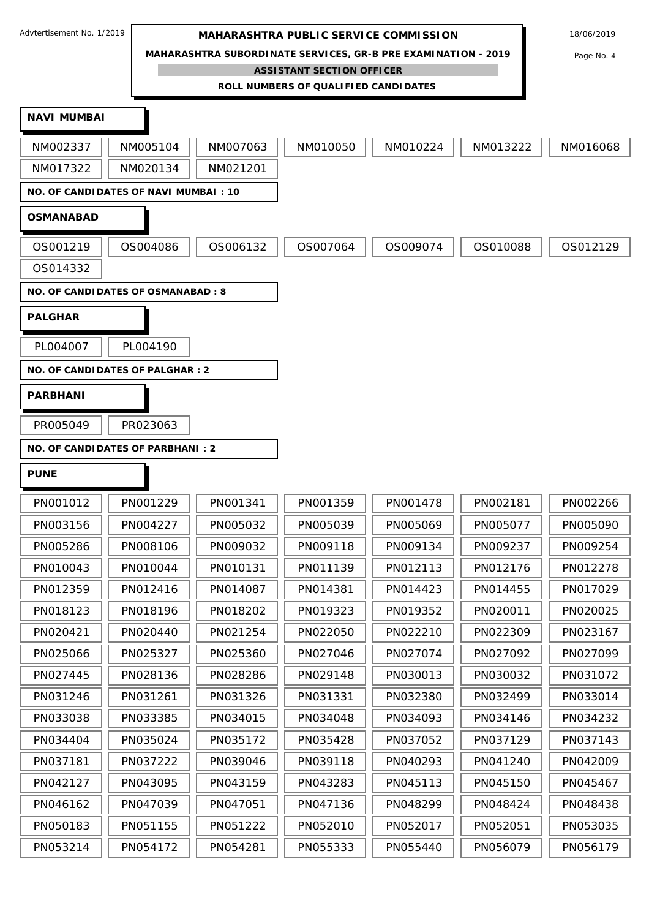**MAHARASHTRA SUBORDINATE SERVICES, GR-B PRE EXAMINATION - 2019** Page No. 4

**ASSISTANT SECTION OFFICER**

**ROLL NUMBERS OF QUALIFIED CANDIDATES** 

| <b>NAVI MUMBAI</b> |                                             |          |          |          |          |          |
|--------------------|---------------------------------------------|----------|----------|----------|----------|----------|
| NM002337           | NM005104                                    | NM007063 | NM010050 | NM010224 | NM013222 | NM016068 |
| NM017322           | NM020134                                    | NM021201 |          |          |          |          |
|                    | <b>NO. OF CANDIDATES OF NAVI MUMBAI: 10</b> |          |          |          |          |          |
| <b>OSMANABAD</b>   |                                             |          |          |          |          |          |
| OS001219           | OS004086                                    | OS006132 | OS007064 | OS009074 | OS010088 | OS012129 |
| OS014332           |                                             |          |          |          |          |          |
|                    | <b>NO. OF CANDIDATES OF OSMANABAD: 8</b>    |          |          |          |          |          |
| <b>PALGHAR</b>     |                                             |          |          |          |          |          |
| PL004007           | PL004190                                    |          |          |          |          |          |
|                    | NO. OF CANDIDATES OF PALGHAR : 2            |          |          |          |          |          |
| <b>PARBHANI</b>    |                                             |          |          |          |          |          |
| PR005049           | PR023063                                    |          |          |          |          |          |
|                    | <b>NO. OF CANDIDATES OF PARBHANI: 2</b>     |          |          |          |          |          |
| <b>PUNE</b>        |                                             |          |          |          |          |          |
| PN001012           | PN001229                                    | PN001341 | PN001359 | PN001478 | PN002181 | PN002266 |
| PN003156           | PN004227                                    | PN005032 | PN005039 | PN005069 | PN005077 | PN005090 |
| PN005286           | PN008106                                    | PN009032 | PN009118 | PN009134 | PN009237 | PN009254 |
| PN010043           | PN010044                                    | PN010131 | PN011139 | PN012113 | PN012176 | PN012278 |
| PN012359           | PN012416                                    | PN014087 | PN014381 | PN014423 | PN014455 | PN017029 |
| PN018123           | PN018196                                    | PN018202 | PN019323 | PN019352 | PN020011 | PN020025 |
| PN020421           | PN020440                                    | PN021254 | PN022050 | PN022210 | PN022309 | PN023167 |
| PN025066           | PN025327                                    | PN025360 | PN027046 | PN027074 | PN027092 | PN027099 |
| PN027445           | PN028136                                    | PN028286 | PN029148 | PN030013 | PN030032 | PN031072 |
| PN031246           | PN031261                                    | PN031326 | PN031331 | PN032380 | PN032499 | PN033014 |
| PN033038           | PN033385                                    | PN034015 | PN034048 | PN034093 | PN034146 | PN034232 |
| PN034404           | PN035024                                    | PN035172 | PN035428 | PN037052 | PN037129 | PN037143 |
| PN037181           | PN037222                                    | PN039046 | PN039118 | PN040293 | PN041240 | PN042009 |
| PN042127           | PN043095                                    | PN043159 | PN043283 | PN045113 | PN045150 | PN045467 |
| PN046162           | PN047039                                    | PN047051 | PN047136 | PN048299 | PN048424 | PN048438 |
| PN050183           | PN051155                                    | PN051222 | PN052010 | PN052017 | PN052051 | PN053035 |
| PN053214           | PN054172                                    | PN054281 | PN055333 | PN055440 | PN056079 | PN056179 |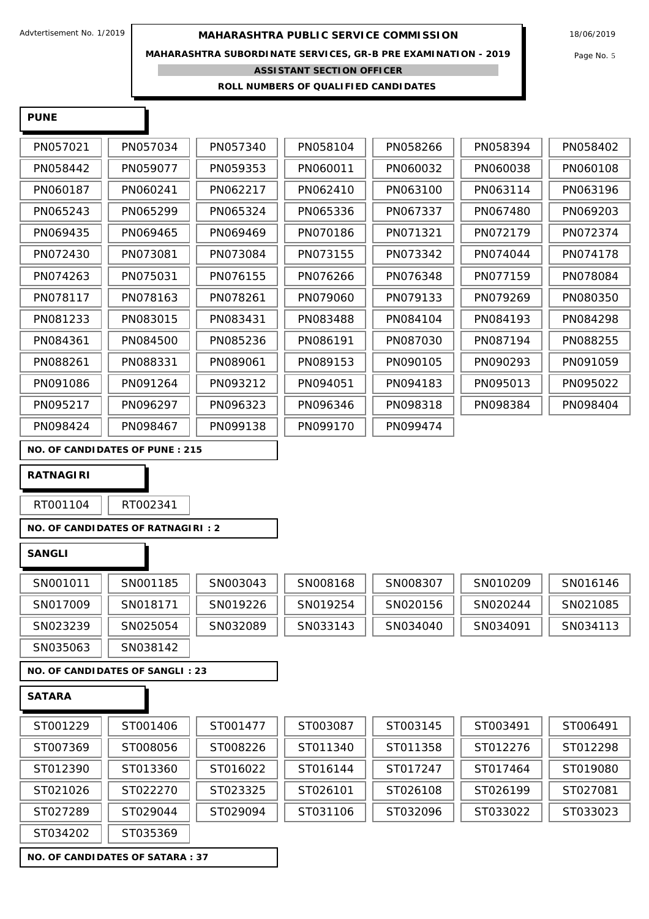**MAHARASHTRA SUBORDINATE SERVICES, GR-B PRE EXAMINATION - 2019** Page No. 5

**ASSISTANT SECTION OFFICER**

**ROLL NUMBERS OF QUALIFIED CANDIDATES** 

| <b>PUNE</b>   |                                   |          |          |          |          |                                              |
|---------------|-----------------------------------|----------|----------|----------|----------|----------------------------------------------|
| PN057021      | PN057034                          | PN057340 | PN058104 | PN058266 | PN058394 | PN058402                                     |
| PN058442      | PN059077                          | PN059353 | PN060011 | PN060032 | PN060038 | PN060108                                     |
| PN060187      | PN060241                          | PN062217 | PN062410 | PN063100 | PN063114 | PN063196                                     |
| PN065243      | PN065299                          | PN065324 | PN065336 | PN067337 | PN067480 | PN069203                                     |
| PN069435      | PN069465                          | PN069469 | PN070186 | PN071321 | PN072179 | PN072374                                     |
| PN072430      | PN073081                          | PN073084 | PN073155 | PN073342 | PN074044 | PN074178                                     |
| PN074263      | PN075031                          | PN076155 | PN076266 | PN076348 | PN077159 | PN078084                                     |
| PN078117      | PN078163                          | PN078261 | PN079060 | PN079133 | PN079269 | PN080350                                     |
| PN081233      | PN083015                          | PN083431 | PN083488 | PN084104 | PN084193 | PN084298                                     |
| PN084361      | PN084500                          | PN085236 | PN086191 | PN087030 | PN087194 | PN088255                                     |
| PN088261      | PN088331                          | PN089061 | PN089153 | PN090105 | PN090293 | PN091059                                     |
| PN091086      | PN091264                          | PN093212 | PN094051 | PN094183 | PN095013 | PN095022                                     |
| PN095217      | PN096297                          | PN096323 | PN096346 | PN098318 | PN098384 | PN098404                                     |
| PN098424      | PN098467                          | PN099138 | PN099170 | PN099474 |          |                                              |
| RATNAGI RI    |                                   |          |          |          |          |                                              |
| RT001104      | RT002341                          |          |          |          |          |                                              |
|               | NO. OF CANDIDATES OF RATNAGIRI: 2 |          |          |          |          |                                              |
| <b>SANGLI</b> |                                   |          |          |          |          |                                              |
| SN001011      | SN001185                          | SN003043 | SN008168 | SN008307 | SN010209 | SN016146                                     |
| SN017009      | SN018171                          | SN019226 | SN019254 | SN020156 | SN020244 |                                              |
| SN023239      |                                   |          |          |          |          |                                              |
|               | SN025054                          | SN032089 | SN033143 | SN034040 | SN034091 |                                              |
| SN035063      | SN038142                          |          |          |          |          |                                              |
|               | NO. OF CANDIDATES OF SANGLI: 23   |          |          |          |          |                                              |
| <b>SATARA</b> |                                   |          |          |          |          | SN021085<br>SN034113                         |
| ST001229      | ST001406                          | ST001477 | ST003087 | ST003145 | ST003491 |                                              |
| ST007369      | ST008056                          | ST008226 | ST011340 | ST011358 | ST012276 |                                              |
| ST012390      | ST013360                          | ST016022 | ST016144 | ST017247 | ST017464 |                                              |
| ST021026      | ST022270                          | ST023325 | ST026101 | ST026108 | ST026199 | ST006491<br>ST012298<br>ST019080<br>ST027081 |

ST034202 | ST035369

**NO. OF CANDIDATES OF SATARA : 37**

| ATARA    |          |          |          |          |          |          |
|----------|----------|----------|----------|----------|----------|----------|
| ST001229 | ST001406 | ST001477 | ST003087 | ST003145 | ST003491 | ST006491 |
| ST007369 | ST008056 | ST008226 | ST011340 | ST011358 | ST012276 | ST012298 |
| ST012390 | ST013360 | ST016022 | ST016144 | ST017247 | ST017464 | ST019080 |
| ST021026 | ST022270 | ST023325 | ST026101 | ST026108 | ST026199 | ST027081 |
| ST027289 | ST029044 | ST029094 | ST031106 | ST032096 | ST033022 | ST033023 |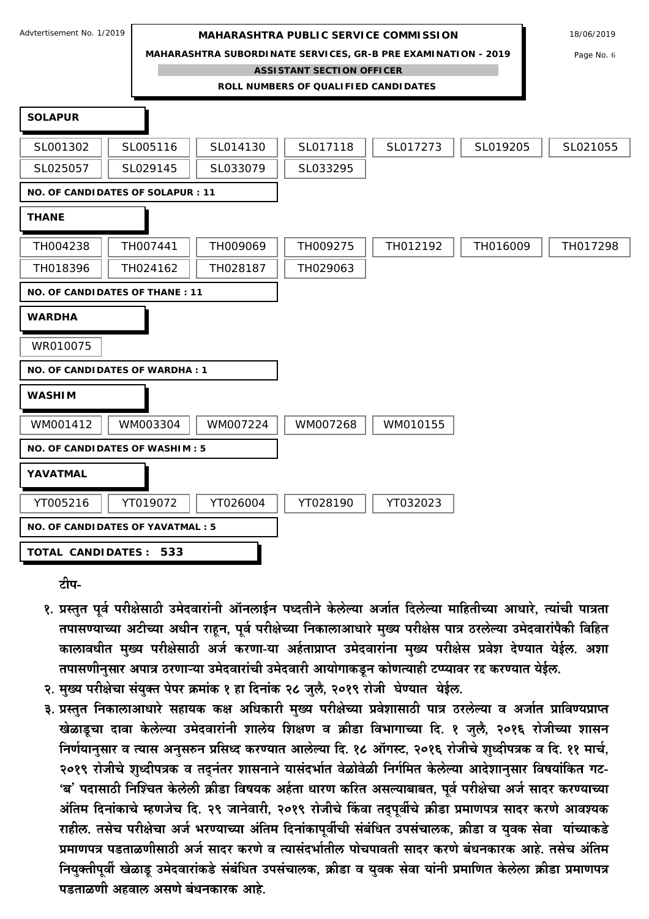**MAHARASHTRA SUBORDINATE SERVICES, GR-B PRE EXAMINATION - 2019** Page No. 6

**ASSISTANT SECTION OFFICER**

**ROLL NUMBERS OF QUALIFIED CANDIDATES** 



टीप-

- १. प्रस्तुत पूर्व परीक्षेसाठी उमेदवारांनी ऑनलाईन पध्दतीने केलेल्या अर्जात दिलेल्या माहितीच्या आधारे, त्यांची पात्रता तपासण्याच्या अटीच्या अधीन राहन, पर्व परीक्षेच्या निकालाआधारे मुख्य परीक्षेस पात्र ठरलेल्या उमेदवारांपैकी विहित कालावधीत मुख्य परीक्षेसाठी अर्ज करणा-या अर्हताप्राप्त उमेदवारांना मुख्य परीक्षेस प्रवेश देण्यात येईल. अशा तपासणीनसार अपात्र ठरणाऱ्या उमेदवारांची उमेदवारी आयोगाकडून कोणत्याही टण्यावर रद्द करण्यात येईल.
- २. मख्य परीक्षेचा संयक्त पेपर क्रमांक १ हा दिनांक २८ जलै. २०१९ रोजी घेण्यात येईल.
- ३. प्रस्तुत निकालाआधारे सहायक कक्ष अधिकारी मुख्य परीक्षेच्या प्रवेशासाठी पात्र ठरलेल्या व अर्जात प्राविण्यप्राप्त खेळाडूचा दावा केलेल्या उमेदवारांनी शालेय शिक्षण व क्रीडा विभागाच्या दि. १ जुलै, २०१६ रोजीच्या शासन निर्णयानुसार व त्यास अनुसरुन प्रसिध्द करण्यात आलेल्या दि. १८ ऑगस्ट, २०१६ रोजीचे शुध्दीपत्रक व दि. ११ मार्च, २०१९ रोजीचे शुध्दीपत्रक व तदुनंतर शासनाने यासंदर्भात वेळोवेळी निर्गमित केलेल्या आदेशानुसार विषयांकित गट-'ब' पदासाठी निश्चित केलेली क्रीडा विषयक अर्हता धारण करित असल्याबाबत, पूर्व परीक्षेचा अर्ज सादर करण्याच्या अंतिम दिनांकाचे म्हणजेच दि. २९ जानेवारी, २०१९ रोजीचे किंवा तद्पूर्वीचे क्रीडा प्रमाणपत्र सादर करणे आवश्यक राहील. तसेच परीक्षेचा अर्ज भरण्याच्या अंतिम दिनांकापूर्वीची संबंधित उपसंचालक, क्रीडा व युवक सेवा यांच्याकडे प्रमाणपत्र पडताळणीसाठी अर्ज सादर करणे व त्यासंदर्भातील पोचपावती सादर करणे बंधनकारक आहे. तसेच अंतिम नियुक्तीपूर्वी खेळाडू उमेदवारांकडे संबंधित उपसंचालक, क्रीडा व युवक सेवा यांनी प्रमाणित केलेला क्रीडा प्रमाणपत्र पडताळणी अहवाल असणे बंधनकारक आहे.